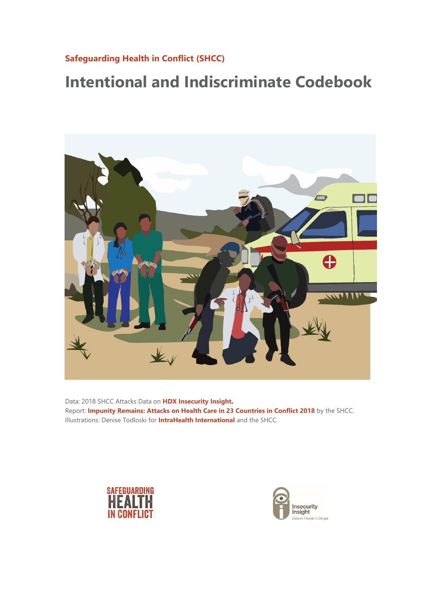# **[Safeguarding Health in Conflict \(SHCC\)](https://www.safeguardinghealth.org/)**

# **Intentional and Indiscriminate Codebook**



Data: 2018 SHCC Attacks Data on **[HDX Insecurity Insight.](https://data.humdata.org/dataset/shcchealthcare-dataset)** Report: **[Impunity Remains: Attacks on Health Care in 23 Countries in Conflict 2018](http://bit.ly/2Hem2vV)** by the SHCC. Illustrations: Denise Todloski for **[IntraHealth International](https://www.intrahealth.org/)** and the SHCC.



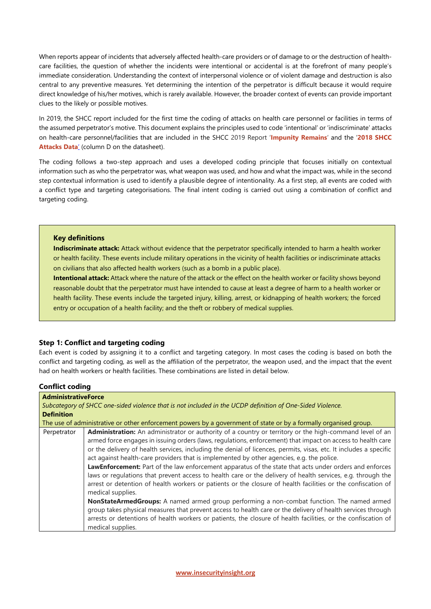When reports appear of incidents that adversely affected health-care providers or of damage to or the destruction of healthcare facilities, the question of whether the incidents were intentional or accidental is at the forefront of many people's immediate consideration. Understanding the context of interpersonal violence or of violent damage and destruction is also central to any preventive measures. Yet determining the intention of the perpetrator is difficult because it would require direct knowledge of his/her motives, which is rarely available. However, the broader context of events can provide important clues to the likely or possible motives.

In 2019, the SHCC report included for the first time the coding of attacks on health care personnel or facilities in terms of the assumed perpetrator's motive. This document explains the principles used to code 'intentional' or 'indiscriminate' attacks on health-care personnel/facilities that are included in the SHCC 2019 Report '**[Impunity Remains](http://bit.ly/2Hem2vV)**' and the '**[2018 SHCC](https://data.humdata.org/dataset/shcchealthcare-dataset)  [Attacks](https://data.humdata.org/dataset/shcchealthcare-dataset) Data**' (column D on the datasheet).

The coding follows a two-step approach and uses a developed coding principle that focuses initially on contextual information such as who the perpetrator was, what weapon was used, and how and what the impact was, while in the second step contextual information is used to identify a plausible degree of intentionality. As a first step, all events are coded with a conflict type and targeting categorisations. The final intent coding is carried out using a combination of conflict and targeting coding.

#### **Key definitions**

**Indiscriminate attack:** Attack without evidence that the perpetrator specifically intended to harm a health worker or health facility. These events include military operations in the vicinity of health facilities or indiscriminate attacks on civilians that also affected health workers (such as a bomb in a public place).

**Intentional attack:** Attack where the nature of the attack or the effect on the health worker or facility shows beyond reasonable doubt that the perpetrator must have intended to cause at least a degree of harm to a health worker or health facility. These events include the targeted injury, killing, arrest, or kidnapping of health workers; the forced entry or occupation of a health facility; and the theft or robbery of medical supplies.

#### **Step 1: Conflict and targeting coding**

Each event is coded by assigning it to a conflict and targeting category. In most cases the coding is based on both the conflict and targeting coding, as well as the affiliation of the perpetrator, the weapon used, and the impact that the event had on health workers or health facilities. These combinations are listed in detail below.

#### **Conflict coding**

| <b>AdministrativeForce</b> |                                                                                                                                                                                                                        |
|----------------------------|------------------------------------------------------------------------------------------------------------------------------------------------------------------------------------------------------------------------|
|                            | Subcategory of SHCC one-sided violence that is not included in the UCDP definition of One-Sided Violence.                                                                                                              |
| <b>Definition</b>          |                                                                                                                                                                                                                        |
|                            | The use of administrative or other enforcement powers by a government of state or by a formally organised group.                                                                                                       |
| Perpetrator                | Administration: An administrator or authority of a country or territory or the high-command level of an<br>armed force engages in issuing orders (laws, regulations, enforcement) that impact on access to health care |
|                            | or the delivery of health services, including the denial of licences, permits, visas, etc. It includes a specific<br>act against health-care providers that is implemented by other agencies, e.g. the police.         |
|                            | LawEnforcement: Part of the law enforcement apparatus of the state that acts under orders and enforces<br>laws or regulations that prevent access to health care or the delivery of health services, e.g. through the  |
|                            | arrest or detention of health workers or patients or the closure of health facilities or the confiscation of<br>medical supplies.                                                                                      |
|                            | NonStateArmedGroups: A named armed group performing a non-combat function. The named armed                                                                                                                             |
|                            | group takes physical measures that prevent access to health care or the delivery of health services through                                                                                                            |
|                            | arrests or detentions of health workers or patients, the closure of health facilities, or the confiscation of<br>medical supplies.                                                                                     |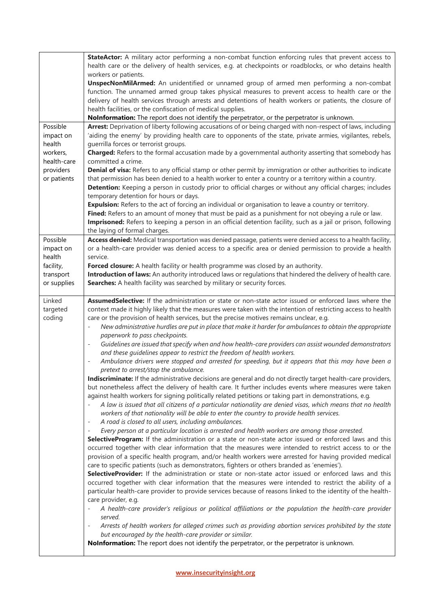|                    | StateActor: A military actor performing a non-combat function enforcing rules that prevent access to                                                                                                                                 |  |  |  |  |
|--------------------|--------------------------------------------------------------------------------------------------------------------------------------------------------------------------------------------------------------------------------------|--|--|--|--|
|                    | health care or the delivery of health services, e.g. at checkpoints or roadblocks, or who detains health<br>workers or patients.                                                                                                     |  |  |  |  |
|                    | UnspecNonMilArmed: An unidentified or unnamed group of armed men performing a non-combat                                                                                                                                             |  |  |  |  |
|                    | function. The unnamed armed group takes physical measures to prevent access to health care or the                                                                                                                                    |  |  |  |  |
|                    | delivery of health services through arrests and detentions of health workers or patients, the closure of                                                                                                                             |  |  |  |  |
|                    | health facilities, or the confiscation of medical supplies.                                                                                                                                                                          |  |  |  |  |
|                    | NoInformation: The report does not identify the perpetrator, or the perpetrator is unknown.                                                                                                                                          |  |  |  |  |
| Possible           | Arrest: Deprivation of liberty following accusations of or being charged with non-respect of laws, including                                                                                                                         |  |  |  |  |
| impact on          | 'aiding the enemy' by providing health care to opponents of the state, private armies, vigilantes, rebels,                                                                                                                           |  |  |  |  |
| health             | guerrilla forces or terrorist groups.                                                                                                                                                                                                |  |  |  |  |
| workers,           | Charged: Refers to the formal accusation made by a governmental authority asserting that somebody has                                                                                                                                |  |  |  |  |
| health-care        | committed a crime.                                                                                                                                                                                                                   |  |  |  |  |
| providers          | Denial of visa: Refers to any official stamp or other permit by immigration or other authorities to indicate                                                                                                                         |  |  |  |  |
| or patients        | that permission has been denied to a health worker to enter a country or a territory within a country.                                                                                                                               |  |  |  |  |
|                    | Detention: Keeping a person in custody prior to official charges or without any official charges; includes                                                                                                                           |  |  |  |  |
|                    | temporary detention for hours or days.<br>Expulsion: Refers to the act of forcing an individual or organisation to leave a country or territory.                                                                                     |  |  |  |  |
|                    | Fined: Refers to an amount of money that must be paid as a punishment for not obeying a rule or law.                                                                                                                                 |  |  |  |  |
|                    | Imprisoned: Refers to keeping a person in an official detention facility, such as a jail or prison, following                                                                                                                        |  |  |  |  |
|                    | the laying of formal charges.                                                                                                                                                                                                        |  |  |  |  |
| Possible           | Access denied: Medical transportation was denied passage, patients were denied access to a health facility,                                                                                                                          |  |  |  |  |
| impact on          | or a health-care provider was denied access to a specific area or denied permission to provide a health                                                                                                                              |  |  |  |  |
| health             | service.                                                                                                                                                                                                                             |  |  |  |  |
| facility,          | Forced closure: A health facility or health programme was closed by an authority.                                                                                                                                                    |  |  |  |  |
| transport          | Introduction of laws: An authority introduced laws or regulations that hindered the delivery of health care.                                                                                                                         |  |  |  |  |
| or supplies        | Searches: A health facility was searched by military or security forces.                                                                                                                                                             |  |  |  |  |
|                    |                                                                                                                                                                                                                                      |  |  |  |  |
| Linked             | AssumedSelective: If the administration or state or non-state actor issued or enforced laws where the                                                                                                                                |  |  |  |  |
| targeted<br>coding | context made it highly likely that the measures were taken with the intention of restricting access to health<br>care or the provision of health services, but the precise motives remains unclear, e.g.                             |  |  |  |  |
|                    | New administrative hurdles are put in place that make it harder for ambulances to obtain the appropriate                                                                                                                             |  |  |  |  |
|                    | paperwork to pass checkpoints.                                                                                                                                                                                                       |  |  |  |  |
|                    | Guidelines are issued that specify when and how health-care providers can assist wounded demonstrators<br>$\overline{\phantom{a}}$                                                                                                   |  |  |  |  |
|                    | and these quidelines appear to restrict the freedom of health workers.                                                                                                                                                               |  |  |  |  |
|                    | Ambulance drivers were stopped and arrested for speeding, but it appears that this may have been a<br>$\overline{\phantom{a}}$                                                                                                       |  |  |  |  |
|                    | pretext to arrest/stop the ambulance.                                                                                                                                                                                                |  |  |  |  |
|                    | Indiscriminate: If the administrative decisions are general and do not directly target health-care providers,                                                                                                                        |  |  |  |  |
|                    | but nonetheless affect the delivery of health care. It further includes events where measures were taken                                                                                                                             |  |  |  |  |
|                    | against health workers for signing politically related petitions or taking part in demonstrations, e.g.                                                                                                                              |  |  |  |  |
|                    | A law is issued that all citizens of a particular nationality are denied visas, which means that no health                                                                                                                           |  |  |  |  |
|                    | workers of that nationality will be able to enter the country to provide health services.                                                                                                                                            |  |  |  |  |
|                    | A road is closed to all users, including ambulances.<br>$\overline{\phantom{a}}$                                                                                                                                                     |  |  |  |  |
|                    | Every person at a particular location is arrested and health workers are among those arrested.<br>$\overline{\phantom{a}}$<br>SelectiveProgram: If the administration or a state or non-state actor issued or enforced laws and this |  |  |  |  |
|                    | occurred together with clear information that the measures were intended to restrict access to or the                                                                                                                                |  |  |  |  |
|                    | provision of a specific health program, and/or health workers were arrested for having provided medical                                                                                                                              |  |  |  |  |
|                    | care to specific patients (such as demonstrators, fighters or others branded as 'enemies').                                                                                                                                          |  |  |  |  |
|                    | SelectiveProvider: If the administration or state or non-state actor issued or enforced laws and this                                                                                                                                |  |  |  |  |
|                    | occurred together with clear information that the measures were intended to restrict the ability of a                                                                                                                                |  |  |  |  |
|                    | particular health-care provider to provide services because of reasons linked to the identity of the health-                                                                                                                         |  |  |  |  |
|                    | care provider, e.g.                                                                                                                                                                                                                  |  |  |  |  |
|                    | A health-care provider's religious or political affiliations or the population the health-care provider                                                                                                                              |  |  |  |  |
|                    | served.                                                                                                                                                                                                                              |  |  |  |  |
|                    | Arrests of health workers for alleged crimes such as providing abortion services prohibited by the state<br>$\overline{\phantom{a}}$                                                                                                 |  |  |  |  |
|                    | but encouraged by the health-care provider or similar.<br>NoInformation: The report does not identify the perpetrator, or the perpetrator is unknown.                                                                                |  |  |  |  |
|                    |                                                                                                                                                                                                                                      |  |  |  |  |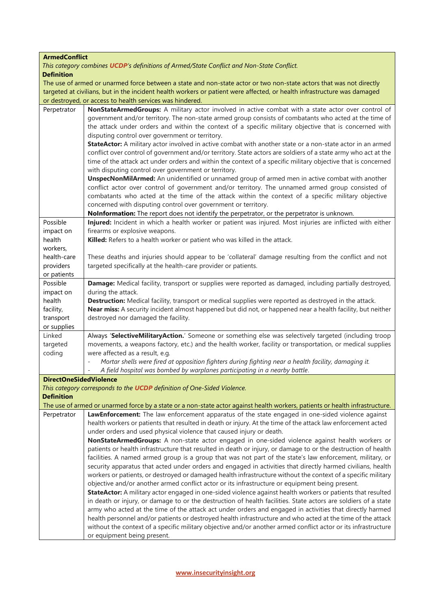# **ArmedConflict**

*This category combines [UCDP](http://ucdp.uu.se/downloads)'s definitions of Armed/State Conflict and Non-State Conflict.* **Definition**

The use of armed or unarmed force between a state and non-state actor or two non-state actors that was not directly targeted at civilians, but in the incident health workers or patient were affected, or health infrastructure was damaged or destroyed, or access to health services was hindered.

| Perpetrator                   | NonStateArmedGroups: A military actor involved in active combat with a state actor over control of                           |
|-------------------------------|------------------------------------------------------------------------------------------------------------------------------|
|                               | government and/or territory. The non-state armed group consists of combatants who acted at the time of                       |
|                               | the attack under orders and within the context of a specific military objective that is concerned with                       |
|                               | disputing control over government or territory.                                                                              |
|                               | StateActor: A military actor involved in active combat with another state or a non-state actor in an armed                   |
|                               | conflict over control of government and/or territory. State actors are soldiers of a state army who act at the               |
|                               | time of the attack act under orders and within the context of a specific military objective that is concerned                |
|                               | with disputing control over government or territory.                                                                         |
|                               | UnspecNonMilArmed: An unidentified or unnamed group of armed men in active combat with another                               |
|                               | conflict actor over control of government and/or territory. The unnamed armed group consisted of                             |
|                               | combatants who acted at the time of the attack within the context of a specific military objective                           |
|                               | concerned with disputing control over government or territory.                                                               |
|                               | Nolnformation: The report does not identify the perpetrator, or the perpetrator is unknown.                                  |
| Possible                      | Injured: Incident in which a health worker or patient was injured. Most injuries are inflicted with either                   |
| impact on                     | firearms or explosive weapons.                                                                                               |
| health                        | Killed: Refers to a health worker or patient who was killed in the attack.                                                   |
| workers,                      |                                                                                                                              |
| health-care                   | These deaths and injuries should appear to be 'collateral' damage resulting from the conflict and not                        |
| providers                     | targeted specifically at the health-care provider or patients.                                                               |
| or patients                   |                                                                                                                              |
| Possible                      | Damage: Medical facility, transport or supplies were reported as damaged, including partially destroyed,                     |
| impact on                     | during the attack.                                                                                                           |
| health                        | Destruction: Medical facility, transport or medical supplies were reported as destroyed in the attack.                       |
| facility,                     | Near miss: A security incident almost happened but did not, or happened near a health facility, but neither                  |
| transport                     | destroyed nor damaged the facility.                                                                                          |
| or supplies                   |                                                                                                                              |
| Linked                        | Always 'SelectiveMilitaryAction.' Someone or something else was selectively targeted (including troop                        |
| targeted                      | movements, a weapons factory, etc.) and the health worker, facility or transportation, or medical supplies                   |
| coding                        | were affected as a result, e.g.                                                                                              |
|                               | Mortar shells were fired at opposition fighters during fighting near a health facility, damaging it.                         |
|                               | A field hospital was bombed by warplanes participating in a nearby battle.                                                   |
| <b>DirectOneSidedViolence</b> |                                                                                                                              |
|                               | This category corresponds to the UCDP definition of One-Sided Violence.                                                      |
| <b>Definition</b>             |                                                                                                                              |
|                               | The use of armed or unarmed force by a state or a non-state actor against health workers, patients or health infrastructure. |
| Perpetrator                   | LawEnforcement: The law enforcement apparatus of the state engaged in one-sided violence against                             |
|                               | health workers or patients that resulted in death or injury. At the time of the attack law enforcement acted                 |
|                               | under orders and used physical violence that caused injury or death.                                                         |
|                               | NonStateArmedGroups: A non-state actor engaged in one-sided violence against health workers or                               |
|                               | patients or health infrastructure that resulted in death or injury, or damage to or the destruction of health                |
|                               | facilities. A named armed group is a group that was not part of the state's law enforcement, military, or                    |
|                               | security apparatus that acted under orders and engaged in activities that directly harmed civilians, health                  |
|                               | workers or patients, or destroyed or damaged health infrastructure without the context of a specific military                |
|                               | objective and/or another armed conflict actor or its infrastructure or equipment being present.                              |
|                               | StateActor: A military actor engaged in one-sided violence against health workers or patients that resulted                  |
|                               | in death or injury, or damage to or the destruction of health facilities. State actors are soldiers of a state               |
|                               | army who acted at the time of the attack act under orders and engaged in activities that directly harmed                     |
|                               | health personnel and/or patients or destroyed health infrastructure and who acted at the time of the attack                  |
|                               | without the context of a specific military objective and/or another armed conflict actor or its infrastructure               |
|                               | or equipment being present.                                                                                                  |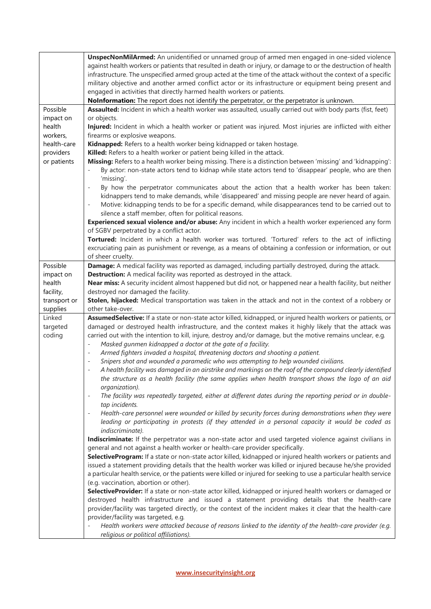|                              | UnspecNonMilArmed: An unidentified or unnamed group of armed men engaged in one-sided violence<br>against health workers or patients that resulted in death or injury, or damage to or the destruction of health<br>infrastructure. The unspecified armed group acted at the time of the attack without the context of a specific<br>military objective and another armed conflict actor or its infrastructure or equipment being present and<br>engaged in activities that directly harmed health workers or patients.<br>NoInformation: The report does not identify the perpetrator, or the perpetrator is unknown. |
|------------------------------|------------------------------------------------------------------------------------------------------------------------------------------------------------------------------------------------------------------------------------------------------------------------------------------------------------------------------------------------------------------------------------------------------------------------------------------------------------------------------------------------------------------------------------------------------------------------------------------------------------------------|
| Possible                     | Assaulted: Incident in which a health worker was assaulted, usually carried out with body parts (fist, feet)                                                                                                                                                                                                                                                                                                                                                                                                                                                                                                           |
| impact on                    | or objects.                                                                                                                                                                                                                                                                                                                                                                                                                                                                                                                                                                                                            |
| health                       | Injured: Incident in which a health worker or patient was injured. Most injuries are inflicted with either                                                                                                                                                                                                                                                                                                                                                                                                                                                                                                             |
| workers,                     | firearms or explosive weapons.                                                                                                                                                                                                                                                                                                                                                                                                                                                                                                                                                                                         |
| health-care                  | Kidnapped: Refers to a health worker being kidnapped or taken hostage.                                                                                                                                                                                                                                                                                                                                                                                                                                                                                                                                                 |
| providers                    | Killed: Refers to a health worker or patient being killed in the attack.                                                                                                                                                                                                                                                                                                                                                                                                                                                                                                                                               |
| or patients                  | Missing: Refers to a health worker being missing. There is a distinction between 'missing' and 'kidnapping':                                                                                                                                                                                                                                                                                                                                                                                                                                                                                                           |
|                              | By actor: non-state actors tend to kidnap while state actors tend to 'disappear' people, who are then                                                                                                                                                                                                                                                                                                                                                                                                                                                                                                                  |
|                              | 'missing'.                                                                                                                                                                                                                                                                                                                                                                                                                                                                                                                                                                                                             |
|                              | By how the perpetrator communicates about the action that a health worker has been taken:<br>$\overline{a}$<br>kidnappers tend to make demands, while 'disappeared' and missing people are never heard of again.<br>Motive: kidnapping tends to be for a specific demand, while disappearances tend to be carried out to<br>$\overline{\phantom{a}}$<br>silence a staff member, often for political reasons.                                                                                                                                                                                                           |
|                              | Experienced sexual violence and/or abuse: Any incident in which a health worker experienced any form<br>of SGBV perpetrated by a conflict actor.                                                                                                                                                                                                                                                                                                                                                                                                                                                                       |
|                              | Tortured: Incident in which a health worker was tortured. 'Tortured' refers to the act of inflicting                                                                                                                                                                                                                                                                                                                                                                                                                                                                                                                   |
|                              | excruciating pain as punishment or revenge, as a means of obtaining a confession or information, or out                                                                                                                                                                                                                                                                                                                                                                                                                                                                                                                |
|                              | of sheer cruelty.                                                                                                                                                                                                                                                                                                                                                                                                                                                                                                                                                                                                      |
| Possible                     | Damage: A medical facility was reported as damaged, including partially destroyed, during the attack.                                                                                                                                                                                                                                                                                                                                                                                                                                                                                                                  |
| impact on                    | <b>Destruction:</b> A medical facility was reported as destroyed in the attack.                                                                                                                                                                                                                                                                                                                                                                                                                                                                                                                                        |
| health                       | Near miss: A security incident almost happened but did not, or happened near a health facility, but neither                                                                                                                                                                                                                                                                                                                                                                                                                                                                                                            |
| facility,                    | destroyed nor damaged the facility.                                                                                                                                                                                                                                                                                                                                                                                                                                                                                                                                                                                    |
| transport or                 | Stolen, hijacked: Medical transportation was taken in the attack and not in the context of a robbery or                                                                                                                                                                                                                                                                                                                                                                                                                                                                                                                |
| supplies                     | other take-over.                                                                                                                                                                                                                                                                                                                                                                                                                                                                                                                                                                                                       |
| Linked<br>targeted<br>coding | AssumedSelective: If a state or non-state actor killed, kidnapped, or injured health workers or patients, or<br>damaged or destroyed health infrastructure, and the context makes it highly likely that the attack was<br>carried out with the intention to kill, injure, destroy and/or damage, but the motive remains unclear, e.g.<br>Masked gunmen kidnapped a doctor at the gate of a facility.<br>$\overline{a}$                                                                                                                                                                                                 |
|                              | Armed fighters invaded a hospital, threatening doctors and shooting a patient.<br>$\overline{a}$                                                                                                                                                                                                                                                                                                                                                                                                                                                                                                                       |
|                              | Snipers shot and wounded a paramedic who was attempting to help wounded civilians.<br>$\overline{a}$                                                                                                                                                                                                                                                                                                                                                                                                                                                                                                                   |
|                              | A health facility was damaged in an airstrike and markings on the roof of the compound clearly identified<br>$\overline{a}$<br>the structure as a health facility (the same applies when health transport shows the logo of an aid                                                                                                                                                                                                                                                                                                                                                                                     |
|                              | organization).<br>$\overline{\phantom{a}}$                                                                                                                                                                                                                                                                                                                                                                                                                                                                                                                                                                             |
|                              | The facility was repeatedly targeted, either at different dates during the reporting period or in double-<br>tap incidents.                                                                                                                                                                                                                                                                                                                                                                                                                                                                                            |
|                              | Health-care personnel were wounded or killed by security forces during demonstrations when they were<br>$\qquad \qquad \blacksquare$                                                                                                                                                                                                                                                                                                                                                                                                                                                                                   |
|                              | leading or participating in protests (if they attended in a personal capacity it would be coded as<br>indiscriminate).                                                                                                                                                                                                                                                                                                                                                                                                                                                                                                 |
|                              | Indiscriminate: If the perpetrator was a non-state actor and used targeted violence against civilians in                                                                                                                                                                                                                                                                                                                                                                                                                                                                                                               |
|                              | general and not against a health worker or health-care provider specifically.                                                                                                                                                                                                                                                                                                                                                                                                                                                                                                                                          |
|                              | SelectiveProgram: If a state or non-state actor killed, kidnapped or injured health workers or patients and                                                                                                                                                                                                                                                                                                                                                                                                                                                                                                            |
|                              | issued a statement providing details that the health worker was killed or injured because he/she provided                                                                                                                                                                                                                                                                                                                                                                                                                                                                                                              |
|                              | a particular health service, or the patients were killed or injured for seeking to use a particular health service                                                                                                                                                                                                                                                                                                                                                                                                                                                                                                     |
|                              | (e.g. vaccination, abortion or other).                                                                                                                                                                                                                                                                                                                                                                                                                                                                                                                                                                                 |
|                              | SelectiveProvider: If a state or non-state actor killed, kidnapped or injured health workers or damaged or                                                                                                                                                                                                                                                                                                                                                                                                                                                                                                             |
|                              | destroyed health infrastructure and issued a statement providing details that the health-care                                                                                                                                                                                                                                                                                                                                                                                                                                                                                                                          |
|                              | provider/facility was targeted directly, or the context of the incident makes it clear that the health-care<br>provider/facility was targeted, e.g.                                                                                                                                                                                                                                                                                                                                                                                                                                                                    |
|                              | Health workers were attacked because of reasons linked to the identity of the health-care provider (e.g.                                                                                                                                                                                                                                                                                                                                                                                                                                                                                                               |
|                              | religious or political affiliations).                                                                                                                                                                                                                                                                                                                                                                                                                                                                                                                                                                                  |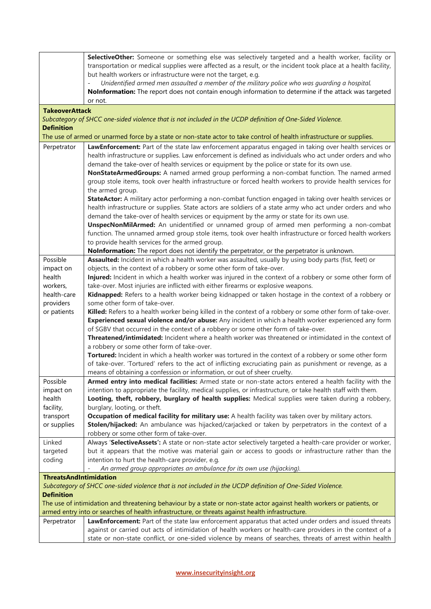|                                                                                                  | SelectiveOther: Someone or something else was selectively targeted and a health worker, facility or                                                                                                    |  |  |  |  |  |
|--------------------------------------------------------------------------------------------------|--------------------------------------------------------------------------------------------------------------------------------------------------------------------------------------------------------|--|--|--|--|--|
|                                                                                                  | transportation or medical supplies were affected as a result, or the incident took place at a health facility,                                                                                         |  |  |  |  |  |
|                                                                                                  | but health workers or infrastructure were not the target, e.g.<br>Unidentified armed men assaulted a member of the military police who was quarding a hospital.                                        |  |  |  |  |  |
|                                                                                                  | Nolnformation: The report does not contain enough information to determine if the attack was targeted                                                                                                  |  |  |  |  |  |
|                                                                                                  | or not.                                                                                                                                                                                                |  |  |  |  |  |
| <b>TakeoverAttack</b>                                                                            |                                                                                                                                                                                                        |  |  |  |  |  |
|                                                                                                  | Subcategory of SHCC one-sided violence that is not included in the UCDP definition of One-Sided Violence.                                                                                              |  |  |  |  |  |
| <b>Definition</b>                                                                                |                                                                                                                                                                                                        |  |  |  |  |  |
|                                                                                                  | The use of armed or unarmed force by a state or non-state actor to take control of health infrastructure or supplies.                                                                                  |  |  |  |  |  |
| Perpetrator                                                                                      | LawEnforcement: Part of the state law enforcement apparatus engaged in taking over health services or                                                                                                  |  |  |  |  |  |
|                                                                                                  | health infrastructure or supplies. Law enforcement is defined as individuals who act under orders and who                                                                                              |  |  |  |  |  |
|                                                                                                  | demand the take-over of health services or equipment by the police or state for its own use.                                                                                                           |  |  |  |  |  |
|                                                                                                  | NonStateArmedGroups: A named armed group performing a non-combat function. The named armed                                                                                                             |  |  |  |  |  |
|                                                                                                  | group stole items, took over health infrastructure or forced health workers to provide health services for                                                                                             |  |  |  |  |  |
|                                                                                                  | the armed group.                                                                                                                                                                                       |  |  |  |  |  |
|                                                                                                  | StateActor: A military actor performing a non-combat function engaged in taking over health services or                                                                                                |  |  |  |  |  |
|                                                                                                  | health infrastructure or supplies. State actors are soldiers of a state army who act under orders and who                                                                                              |  |  |  |  |  |
|                                                                                                  | demand the take-over of health services or equipment by the army or state for its own use.                                                                                                             |  |  |  |  |  |
|                                                                                                  | UnspecNonMilArmed: An unidentified or unnamed group of armed men performing a non-combat                                                                                                               |  |  |  |  |  |
|                                                                                                  | function. The unnamed armed group stole items, took over health infrastructure or forced health workers                                                                                                |  |  |  |  |  |
|                                                                                                  | to provide health services for the armed group.                                                                                                                                                        |  |  |  |  |  |
| Possible                                                                                         | NoInformation: The report does not identify the perpetrator, or the perpetrator is unknown.<br>Assaulted: Incident in which a health worker was assaulted, usually by using body parts (fist, feet) or |  |  |  |  |  |
| impact on                                                                                        | objects, in the context of a robbery or some other form of take-over.                                                                                                                                  |  |  |  |  |  |
| health                                                                                           | Injured: Incident in which a health worker was injured in the context of a robbery or some other form of                                                                                               |  |  |  |  |  |
| workers,                                                                                         | take-over. Most injuries are inflicted with either firearms or explosive weapons.                                                                                                                      |  |  |  |  |  |
| health-care                                                                                      | Kidnapped: Refers to a health worker being kidnapped or taken hostage in the context of a robbery or                                                                                                   |  |  |  |  |  |
| providers                                                                                        | some other form of take-over.                                                                                                                                                                          |  |  |  |  |  |
| or patients                                                                                      | Killed: Refers to a health worker being killed in the context of a robbery or some other form of take-over.                                                                                            |  |  |  |  |  |
|                                                                                                  | Experienced sexual violence and/or abuse: Any incident in which a health worker experienced any form                                                                                                   |  |  |  |  |  |
|                                                                                                  | of SGBV that occurred in the context of a robbery or some other form of take-over.                                                                                                                     |  |  |  |  |  |
|                                                                                                  | Threatened/intimidated: Incident where a health worker was threatened or intimidated in the context of                                                                                                 |  |  |  |  |  |
|                                                                                                  | a robbery or some other form of take-over.                                                                                                                                                             |  |  |  |  |  |
|                                                                                                  | Tortured: Incident in which a health worker was tortured in the context of a robbery or some other form                                                                                                |  |  |  |  |  |
|                                                                                                  | of take-over. 'Tortured' refers to the act of inflicting excruciating pain as punishment or revenge, as a                                                                                              |  |  |  |  |  |
| Possible                                                                                         | means of obtaining a confession or information, or out of sheer cruelty.<br>Armed entry into medical facilities: Armed state or non-state actors entered a health facility with the                    |  |  |  |  |  |
| impact on                                                                                        | intention to appropriate the facility, medical supplies, or infrastructure, or take health staff with them.                                                                                            |  |  |  |  |  |
| health                                                                                           | Looting, theft, robbery, burglary of health supplies: Medical supplies were taken during a robbery,                                                                                                    |  |  |  |  |  |
| facility,                                                                                        | burglary, looting, or theft.                                                                                                                                                                           |  |  |  |  |  |
| transport                                                                                        | Occupation of medical facility for military use: A health facility was taken over by military actors.                                                                                                  |  |  |  |  |  |
| or supplies                                                                                      | Stolen/hijacked: An ambulance was hijacked/carjacked or taken by perpetrators in the context of a                                                                                                      |  |  |  |  |  |
|                                                                                                  | robbery or some other form of take-over.                                                                                                                                                               |  |  |  |  |  |
| Linked                                                                                           | Always 'SelectiveAssets': A state or non-state actor selectively targeted a health-care provider or worker,                                                                                            |  |  |  |  |  |
| targeted                                                                                         | but it appears that the motive was material gain or access to goods or infrastructure rather than the                                                                                                  |  |  |  |  |  |
| coding                                                                                           | intention to hurt the health-care provider, e.g.                                                                                                                                                       |  |  |  |  |  |
|                                                                                                  | An armed group appropriates an ambulance for its own use (hijacking).                                                                                                                                  |  |  |  |  |  |
| <b>ThreatsAndIntimidation</b>                                                                    |                                                                                                                                                                                                        |  |  |  |  |  |
|                                                                                                  | Subcategory of SHCC one-sided violence that is not included in the UCDP definition of One-Sided Violence.                                                                                              |  |  |  |  |  |
| <b>Definition</b>                                                                                | The use of intimidation and threatening behaviour by a state or non-state actor against health workers or patients, or                                                                                 |  |  |  |  |  |
| armed entry into or searches of health infrastructure, or threats against health infrastructure. |                                                                                                                                                                                                        |  |  |  |  |  |
| Perpetrator                                                                                      | LawEnforcement: Part of the state law enforcement apparatus that acted under orders and issued threats                                                                                                 |  |  |  |  |  |
|                                                                                                  | against or carried out acts of intimidation of health workers or health-care providers in the context of a                                                                                             |  |  |  |  |  |
|                                                                                                  | state or non-state conflict, or one-sided violence by means of searches, threats of arrest within health                                                                                               |  |  |  |  |  |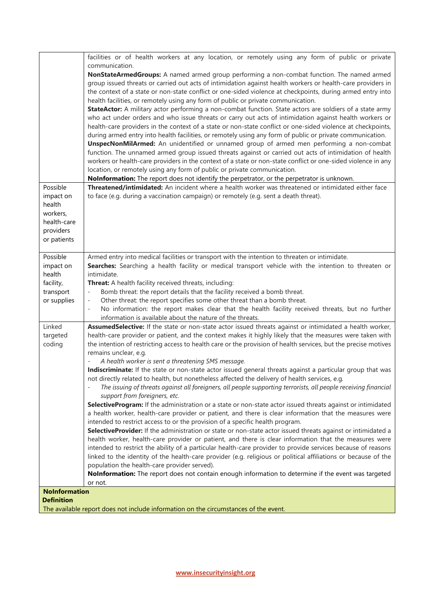|                          | facilities or of health workers at any location, or remotely using any form of public or private                                                                                                          |
|--------------------------|-----------------------------------------------------------------------------------------------------------------------------------------------------------------------------------------------------------|
|                          | communication.                                                                                                                                                                                            |
|                          | NonStateArmedGroups: A named armed group performing a non-combat function. The named armed<br>group issued threats or carried out acts of intimidation against health workers or health-care providers in |
|                          | the context of a state or non-state conflict or one-sided violence at checkpoints, during armed entry into                                                                                                |
|                          | health facilities, or remotely using any form of public or private communication.                                                                                                                         |
|                          | StateActor: A military actor performing a non-combat function. State actors are soldiers of a state army                                                                                                  |
|                          | who act under orders and who issue threats or carry out acts of intimidation against health workers or                                                                                                    |
|                          | health-care providers in the context of a state or non-state conflict or one-sided violence at checkpoints,                                                                                               |
|                          | during armed entry into health facilities, or remotely using any form of public or private communication.                                                                                                 |
|                          | <b>UnspecNonMilArmed:</b> An unidentified or unnamed group of armed men performing a non-combat                                                                                                           |
|                          | function. The unnamed armed group issued threats against or carried out acts of intimidation of health                                                                                                    |
|                          | workers or health-care providers in the context of a state or non-state conflict or one-sided violence in any                                                                                             |
|                          | location, or remotely using any form of public or private communication.                                                                                                                                  |
|                          | Nolnformation: The report does not identify the perpetrator, or the perpetrator is unknown.                                                                                                               |
| Possible                 | Threatened/intimidated: An incident where a health worker was threatened or intimidated either face                                                                                                       |
| impact on<br>health      | to face (e.g. during a vaccination campaign) or remotely (e.g. sent a death threat).                                                                                                                      |
| workers,                 |                                                                                                                                                                                                           |
| health-care              |                                                                                                                                                                                                           |
| providers                |                                                                                                                                                                                                           |
| or patients              |                                                                                                                                                                                                           |
|                          |                                                                                                                                                                                                           |
| Possible                 | Armed entry into medical facilities or transport with the intention to threaten or intimidate.                                                                                                            |
| impact on                | Searches: Searching a health facility or medical transport vehicle with the intention to threaten or                                                                                                      |
| health                   | intimidate.                                                                                                                                                                                               |
| facility,                | Threat: A health facility received threats, including:                                                                                                                                                    |
| transport<br>or supplies | Bomb threat: the report details that the facility received a bomb threat.<br>Other threat: the report specifies some other threat than a bomb threat.<br>$\overline{\phantom{m}}$                         |
|                          | No information: the report makes clear that the health facility received threats, but no further<br>$\overline{\phantom{a}}$                                                                              |
|                          | information is available about the nature of the threats.                                                                                                                                                 |
| Linked                   | AssumedSelective: If the state or non-state actor issued threats against or intimidated a health worker,                                                                                                  |
| targeted                 | health-care provider or patient, and the context makes it highly likely that the measures were taken with                                                                                                 |
| coding                   | the intention of restricting access to health care or the provision of health services, but the precise motives                                                                                           |
|                          | remains unclear, e.g.                                                                                                                                                                                     |
|                          | A health worker is sent a threatening SMS message.                                                                                                                                                        |
|                          | Indiscriminate: If the state or non-state actor issued general threats against a particular group that was                                                                                                |
|                          | not directly related to health, but nonetheless affected the delivery of health services, e.g.<br>$\overline{\phantom{a}}$                                                                                |
|                          | The issuing of threats against all foreigners, all people supporting terrorists, all people receiving financial<br>support from foreigners, etc.                                                          |
|                          | SelectiveProgram: If the administration or a state or non-state actor issued threats against or intimidated                                                                                               |
|                          | a health worker, health-care provider or patient, and there is clear information that the measures were                                                                                                   |
|                          | intended to restrict access to or the provision of a specific health program.                                                                                                                             |
|                          | SelectiveProvider: If the administration or state or non-state actor issued threats against or intimidated a                                                                                              |
|                          | health worker, health-care provider or patient, and there is clear information that the measures were                                                                                                     |
|                          | intended to restrict the ability of a particular health-care provider to provide services because of reasons                                                                                              |
|                          | linked to the identity of the health-care provider (e.g. religious or political affiliations or because of the                                                                                            |
|                          | population the health-care provider served).                                                                                                                                                              |
|                          | NoInformation: The report does not contain enough information to determine if the event was targeted                                                                                                      |
| <b>NoInformation</b>     | or not.                                                                                                                                                                                                   |
| <b>Definition</b>        |                                                                                                                                                                                                           |
|                          | The available report does not include information on the circumstances of the event.                                                                                                                      |